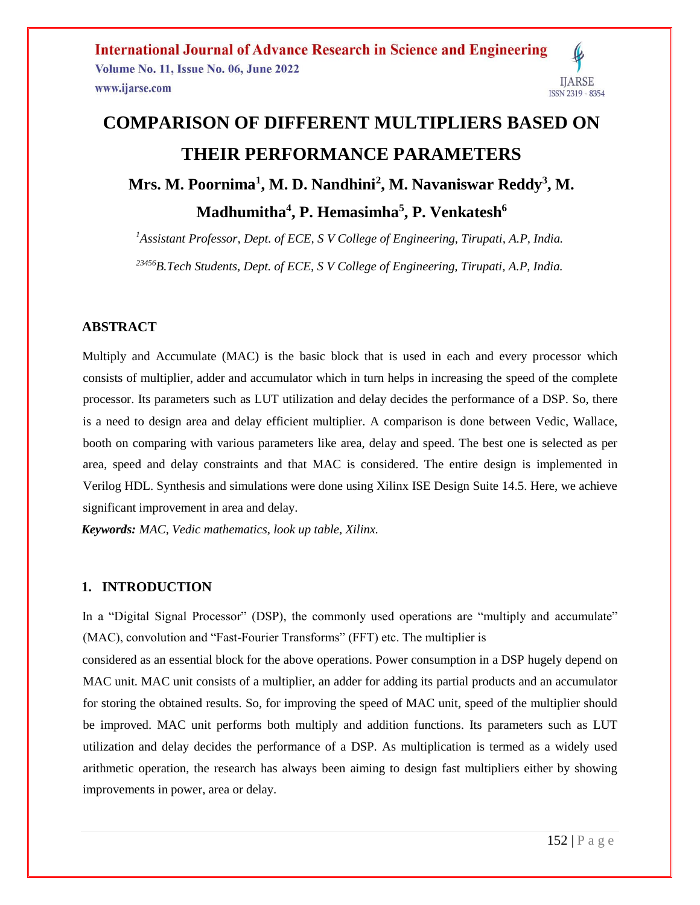# **COMPARISON OF DIFFERENT MULTIPLIERS BASED ON THEIR PERFORMANCE PARAMETERS**

**Mrs. M. Poornima<sup>1</sup> , M. D. Nandhini<sup>2</sup> , M. Navaniswar Reddy<sup>3</sup> , M. Madhumitha<sup>4</sup> , P. Hemasimha<sup>5</sup> , P. Venkatesh<sup>6</sup>**

*<sup>1</sup>Assistant Professor, Dept. of ECE, S V College of Engineering, Tirupati, A.P, India.* 

*<sup>23456</sup>B.Tech Students, Dept. of ECE, S V College of Engineering, Tirupati, A.P, India.* 

## **ABSTRACT**

Multiply and Accumulate (MAC) is the basic block that is used in each and every processor which consists of multiplier, adder and accumulator which in turn helps in increasing the speed of the complete processor. Its parameters such as LUT utilization and delay decides the performance of a DSP. So, there is a need to design area and delay efficient multiplier. A comparison is done between Vedic, Wallace, booth on comparing with various parameters like area, delay and speed. The best one is selected as per area, speed and delay constraints and that MAC is considered. The entire design is implemented in Verilog HDL. Synthesis and simulations were done using Xilinx ISE Design Suite 14.5. Here, we achieve significant improvement in area and delay.

*Keywords: MAC, Vedic mathematics, look up table, Xilinx.*

## **1. INTRODUCTION**

In a "Digital Signal Processor" (DSP), the commonly used operations are "multiply and accumulate" (MAC), convolution and "Fast-Fourier Transforms" (FFT) etc. The multiplier is

considered as an essential block for the above operations. Power consumption in a DSP hugely depend on MAC unit. MAC unit consists of a multiplier, an adder for adding its partial products and an accumulator for storing the obtained results. So, for improving the speed of MAC unit, speed of the multiplier should be improved. MAC unit performs both multiply and addition functions. Its parameters such as LUT utilization and delay decides the performance of a DSP. As multiplication is termed as a widely used arithmetic operation, the research has always been aiming to design fast multipliers either by showing improvements in power, area or delay.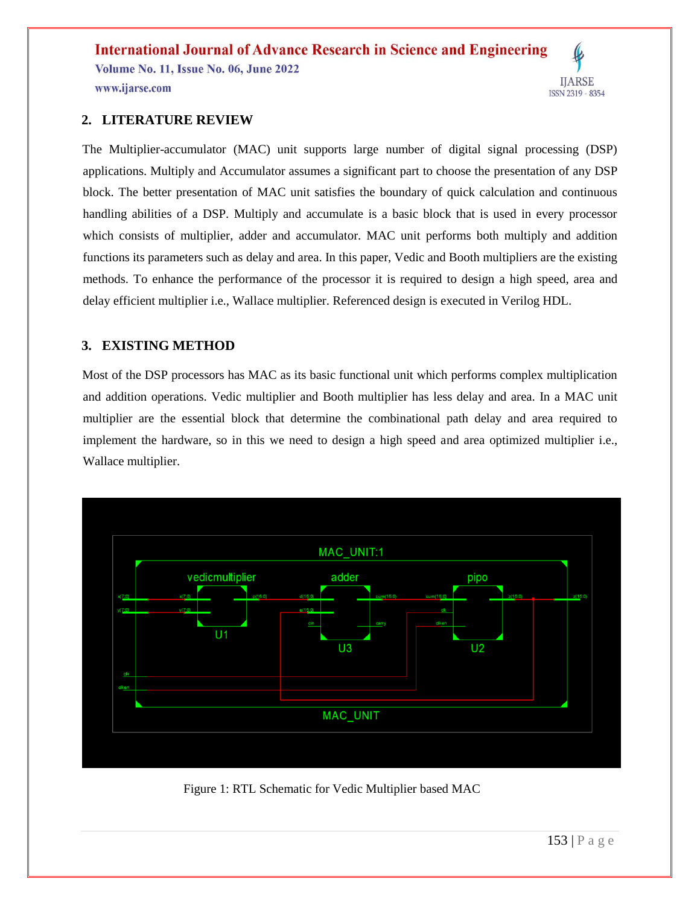## **2. LITERATURE REVIEW**

The Multiplier-accumulator (MAC) unit supports large number of digital signal processing (DSP) applications. Multiply and Accumulator assumes a significant part to choose the presentation of any DSP block. The better presentation of MAC unit satisfies the boundary of quick calculation and continuous handling abilities of a DSP. Multiply and accumulate is a basic block that is used in every processor which consists of multiplier, adder and accumulator. MAC unit performs both multiply and addition functions its parameters such as delay and area. In this paper, Vedic and Booth multipliers are the existing methods. To enhance the performance of the processor it is required to design a high speed, area and delay efficient multiplier i.e., Wallace multiplier. Referenced design is executed in Verilog HDL.

## **3. EXISTING METHOD**

Most of the DSP processors has MAC as its basic functional unit which performs complex multiplication and addition operations. Vedic multiplier and Booth multiplier has less delay and area. In a MAC unit multiplier are the essential block that determine the combinational path delay and area required to implement the hardware, so in this we need to design a high speed and area optimized multiplier i.e., Wallace multiplier.



Figure 1: RTL Schematic for Vedic Multiplier based MAC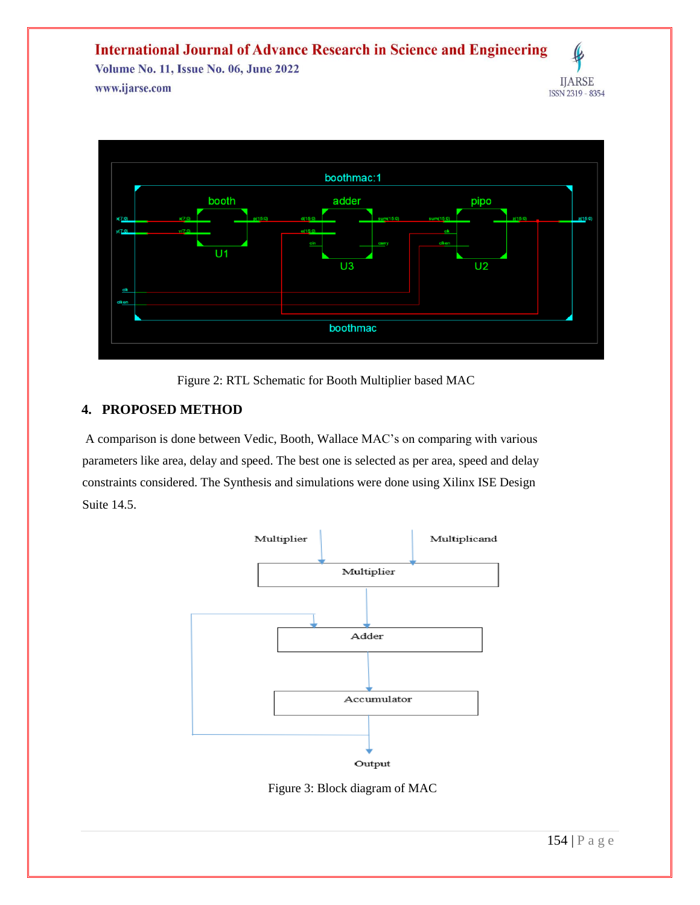

Figure 2: RTL Schematic for Booth Multiplier based MAC

## **4. PROPOSED METHOD**

A comparison is done between Vedic, Booth, Wallace MAC's on comparing with various parameters like area, delay and speed. The best one is selected as per area, speed and delay constraints considered. The Synthesis and simulations were done using Xilinx ISE Design Suite 14.5.



Figure 3: Block diagram of MAC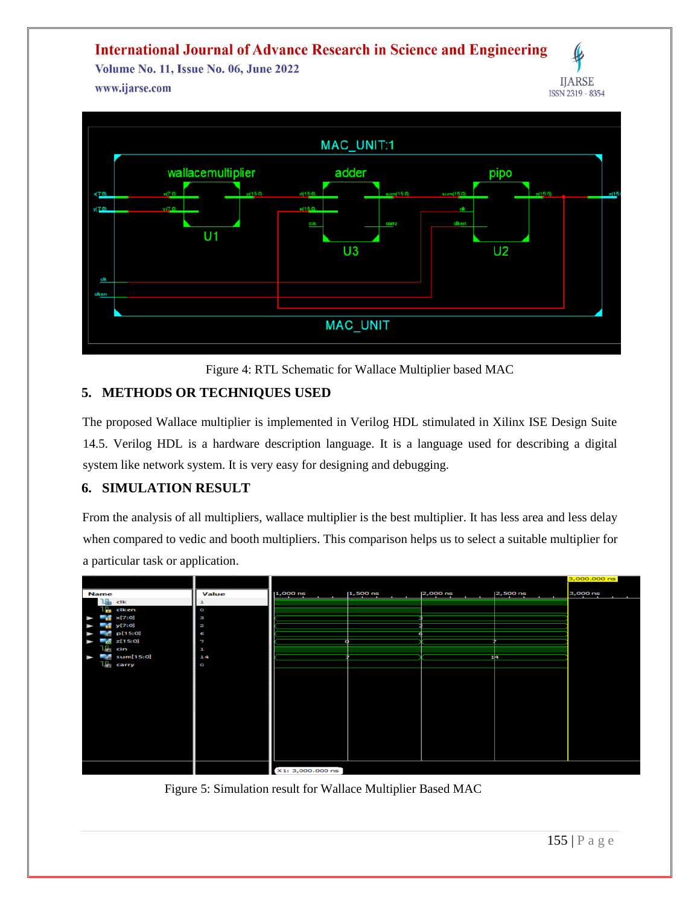**International Journal of Advance Research in Science and Engineering** 

Volume No. 11, Issue No. 06, June 2022 www.ijarse.com



Figure 4: RTL Schematic for Wallace Multiplier based MAC

## **5. METHODS OR TECHNIQUES USED**

The proposed Wallace multiplier is implemented in Verilog HDL stimulated in Xilinx ISE Design Suite 14.5. Verilog HDL is a hardware description language. It is a language used for describing a digital system like network system. It is very easy for designing and debugging.

## **6. SIMULATION RESULT**

From the analysis of all multipliers, wallace multiplier is the best multiplier. It has less area and less delay when compared to vedic and booth multipliers. This comparison helps us to select a suitable multiplier for a particular task or application.



Figure 5: Simulation result for Wallace Multiplier Based MAC

**IJARSE**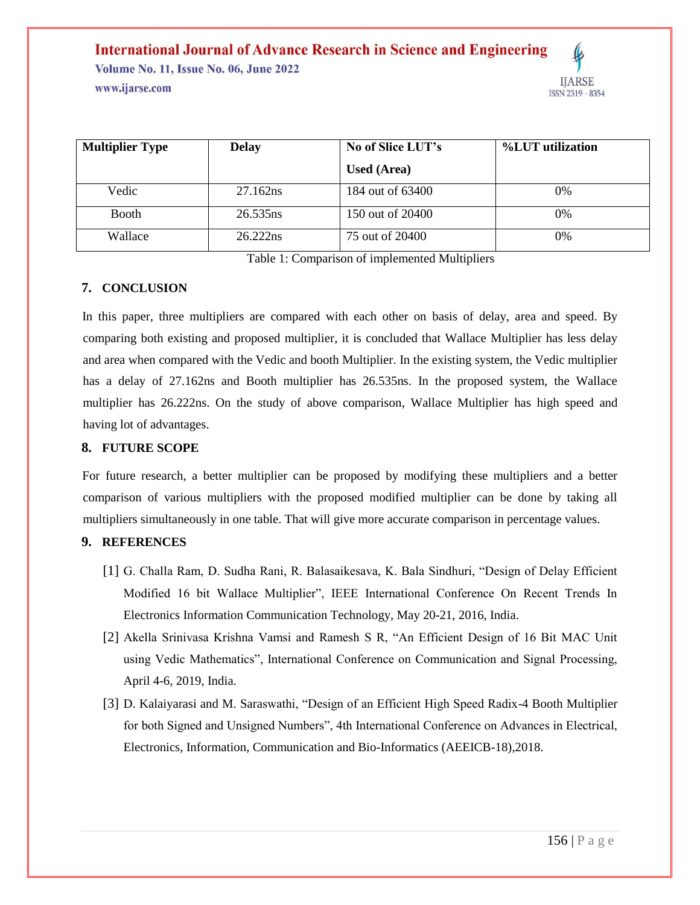| <b>Multiplier Type</b> | <b>Delay</b> | No of Slice LUT's  | %LUT utilization |
|------------------------|--------------|--------------------|------------------|
|                        |              | <b>Used (Area)</b> |                  |
| Vedic                  | 27.162ns     | 184 out of 63400   | 0%               |
| <b>Booth</b>           | 26.535ns     | 150 out of 20400   | 0%               |
| Wallace                | 26.222ns     | 75 out of 20400    | 0%               |

Table 1: Comparison of implemented Multipliers

#### **7. CONCLUSION**

In this paper, three multipliers are compared with each other on basis of delay, area and speed. By comparing both existing and proposed multiplier, it is concluded that Wallace Multiplier has less delay and area when compared with the Vedic and booth Multiplier. In the existing system, the Vedic multiplier has a delay of 27.162ns and Booth multiplier has 26.535ns. In the proposed system, the Wallace multiplier has 26.222ns. On the study of above comparison, Wallace Multiplier has high speed and having lot of advantages.

## **8. FUTURE SCOPE**

For future research, a better multiplier can be proposed by modifying these multipliers and a better comparison of various multipliers with the proposed modified multiplier can be done by taking all multipliers simultaneously in one table. That will give more accurate comparison in percentage values.

## **9. REFERENCES**

- [1] G. Challa Ram, D. Sudha Rani, R. Balasaikesava, K. Bala Sindhuri, "Design of Delay Efficient Modified 16 bit Wallace Multiplier", IEEE International Conference On Recent Trends In Electronics Information Communication Technology, May 20-21, 2016, India.
- [2] Akella Srinivasa Krishna Vamsi and Ramesh S R, "An Efficient Design of 16 Bit MAC Unit using Vedic Mathematics", International Conference on Communication and Signal Processing, April 4-6, 2019, India.
- [3] D. Kalaiyarasi and M. Saraswathi, "Design of an Efficient High Speed Radix-4 Booth Multiplier for both Signed and Unsigned Numbers", 4th International Conference on Advances in Electrical, Electronics, Information, Communication and Bio-Informatics (AEEICB-18),2018.